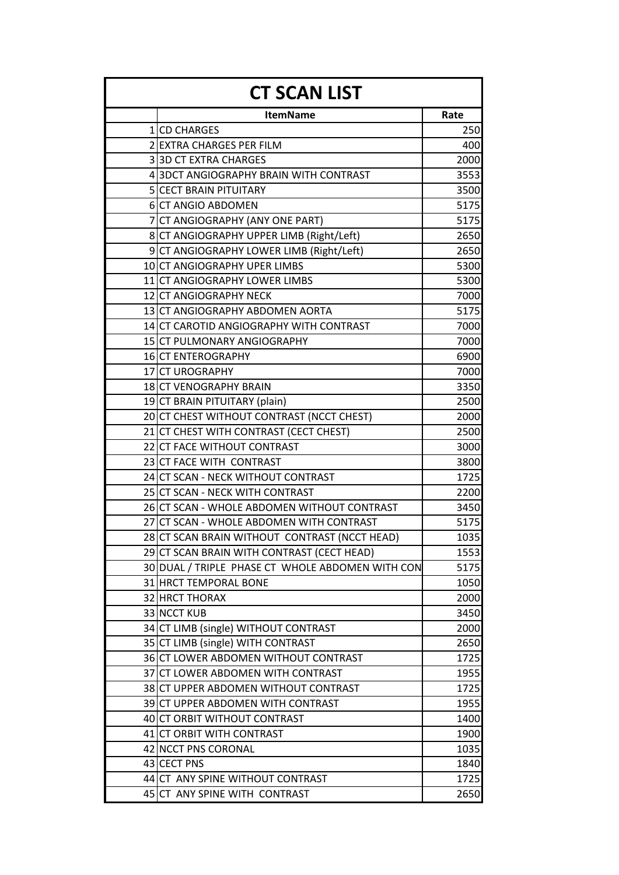| <b>CT SCAN LIST</b> |                                                  |      |
|---------------------|--------------------------------------------------|------|
|                     | <b>ItemName</b>                                  | Rate |
|                     | 1 CD CHARGES                                     | 250  |
|                     | 2 EXTRA CHARGES PER FILM                         | 400  |
|                     | 33D CT EXTRA CHARGES                             | 2000 |
|                     | 4 3DCT ANGIOGRAPHY BRAIN WITH CONTRAST           | 3553 |
|                     | <b>5 CECT BRAIN PITUITARY</b>                    | 3500 |
|                     | 6 CT ANGIO ABDOMEN                               | 5175 |
|                     | 7 CT ANGIOGRAPHY (ANY ONE PART)                  | 5175 |
|                     | 8 CT ANGIOGRAPHY UPPER LIMB (Right/Left)         | 2650 |
|                     | 9 CT ANGIOGRAPHY LOWER LIMB (Right/Left)         | 2650 |
|                     | 10 CT ANGIOGRAPHY UPER LIMBS                     | 5300 |
|                     | 11 CT ANGIOGRAPHY LOWER LIMBS                    | 5300 |
|                     | 12 CT ANGIOGRAPHY NECK                           | 7000 |
|                     | 13 CT ANGIOGRAPHY ABDOMEN AORTA                  | 5175 |
|                     | 14 CT CAROTID ANGIOGRAPHY WITH CONTRAST          | 7000 |
|                     | 15 CT PULMONARY ANGIOGRAPHY                      | 7000 |
|                     | 16 CT ENTEROGRAPHY                               | 6900 |
|                     | 17 CT UROGRAPHY                                  | 7000 |
|                     | 18 CT VENOGRAPHY BRAIN                           | 3350 |
|                     | 19 CT BRAIN PITUITARY (plain)                    | 2500 |
|                     | 20 CT CHEST WITHOUT CONTRAST (NCCT CHEST)        | 2000 |
|                     | 21 CT CHEST WITH CONTRAST (CECT CHEST)           | 2500 |
|                     | 22 CT FACE WITHOUT CONTRAST                      | 3000 |
|                     | 23 CT FACE WITH CONTRAST                         | 3800 |
|                     | 24 CT SCAN - NECK WITHOUT CONTRAST               | 1725 |
|                     | 25 CT SCAN - NECK WITH CONTRAST                  | 2200 |
|                     | 26 CT SCAN - WHOLE ABDOMEN WITHOUT CONTRAST      | 3450 |
|                     | 27 CT SCAN - WHOLE ABDOMEN WITH CONTRAST         | 5175 |
|                     | 28 CT SCAN BRAIN WITHOUT CONTRAST (NCCT HEAD)    | 1035 |
|                     | 29 CT SCAN BRAIN WITH CONTRAST (CECT HEAD)       | 1553 |
|                     | 30 DUAL / TRIPLE PHASE CT WHOLE ABDOMEN WITH CON | 5175 |
|                     | 31 HRCT TEMPORAL BONE                            | 1050 |
|                     | 32 HRCT THORAX                                   | 2000 |
|                     | 33 NCCT KUB                                      | 3450 |
|                     | 34 CT LIMB (single) WITHOUT CONTRAST             | 2000 |
|                     | 35 CT LIMB (single) WITH CONTRAST                | 2650 |
|                     | 36 CT LOWER ABDOMEN WITHOUT CONTRAST             | 1725 |
|                     | 37 CT LOWER ABDOMEN WITH CONTRAST                | 1955 |
|                     | 38 CT UPPER ABDOMEN WITHOUT CONTRAST             | 1725 |
|                     | 39 CT UPPER ABDOMEN WITH CONTRAST                | 1955 |
|                     | 40 CT ORBIT WITHOUT CONTRAST                     | 1400 |
|                     | 41 CT ORBIT WITH CONTRAST                        | 1900 |
|                     | 42 NCCT PNS CORONAL                              | 1035 |
|                     | 43 CECT PNS                                      | 1840 |
|                     | 44 CT ANY SPINE WITHOUT CONTRAST                 | 1725 |
|                     | 45 CT ANY SPINE WITH CONTRAST                    | 2650 |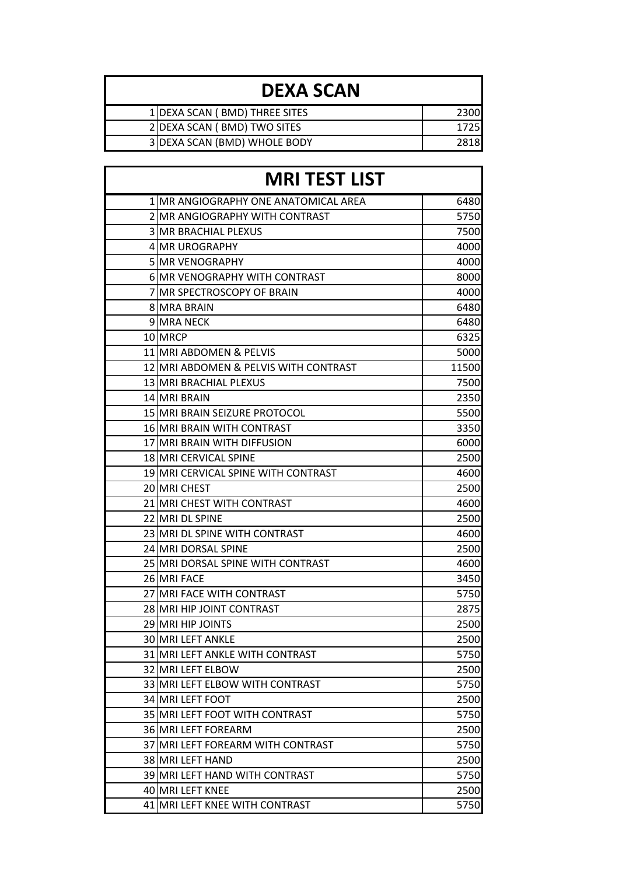| <b>DEXA SCAN</b> |                               |      |
|------------------|-------------------------------|------|
|                  | 1 DEXA SCAN (BMD) THREE SITES | 2300 |
|                  | 2 DEXA SCAN (BMD) TWO SITES   | 1725 |
|                  | 3 DEXA SCAN (BMD) WHOLE BODY  | 2818 |

| <b>MRI TEST LIST</b>                  |       |
|---------------------------------------|-------|
| 1 MR ANGIOGRAPHY ONE ANATOMICAL AREA  | 6480  |
| 2 MR ANGIOGRAPHY WITH CONTRAST        | 5750  |
| <b>3 MR BRACHIAL PLEXUS</b>           | 7500  |
| 4 MR UROGRAPHY                        | 4000  |
| <b>5 MR VENOGRAPHY</b>                | 4000  |
| 6 MR VENOGRAPHY WITH CONTRAST         | 8000  |
| 7 MR SPECTROSCOPY OF BRAIN            | 4000  |
| <b>8 MRA BRAIN</b>                    | 6480  |
| 9 MRA NECK                            | 6480  |
| 10 MRCP                               | 6325  |
| 11 MRI ABDOMEN & PELVIS               | 5000  |
| 12 MRI ABDOMEN & PELVIS WITH CONTRAST | 11500 |
| 13 MRI BRACHIAL PLEXUS                | 7500  |
| 14 MRI BRAIN                          | 2350  |
| <b>15 MRI BRAIN SEIZURE PROTOCOL</b>  | 5500  |
| 16 MRI BRAIN WITH CONTRAST            | 3350  |
| 17 MRI BRAIN WITH DIFFUSION           | 6000  |
| 18 MRI CERVICAL SPINE                 | 2500  |
| 19 MRI CERVICAL SPINE WITH CONTRAST   | 4600  |
| 20 MRI CHEST                          | 2500  |
| 21 MRI CHEST WITH CONTRAST            | 4600  |
| 22 MRI DL SPINE                       | 2500  |
| 23 MRI DL SPINE WITH CONTRAST         | 4600  |
| 24 MRI DORSAL SPINE                   | 2500  |
| 25 MRI DORSAL SPINE WITH CONTRAST     | 4600  |
| 26 MRI FACE                           | 3450  |
| 27 MRI FACE WITH CONTRAST             | 5750  |
| 28 MRI HIP JOINT CONTRAST             | 2875  |
| <b>29 MRI HIP JOINTS</b>              | 2500  |
| <b>30 MRI LEFT ANKLE</b>              | 2500  |
| 31 MRI LEFT ANKLE WITH CONTRAST       | 5750  |
| 32 MRI LEFT ELBOW                     | 2500  |
| 33 MRI LEFT ELBOW WITH CONTRAST       | 5750  |
| 34 MRI LEFT FOOT                      | 2500  |
| 35 MRI LEFT FOOT WITH CONTRAST        | 5750  |
| 36 MRI LEFT FOREARM                   | 2500  |
| 37 MRI LEFT FOREARM WITH CONTRAST     | 5750  |
| <b>38 MRI LEFT HAND</b>               | 2500  |
| 39 MRI LEFT HAND WITH CONTRAST        | 5750  |
| 40 MRI LEFT KNEE                      | 2500  |
| 41 MRI LEFT KNEE WITH CONTRAST        | 5750  |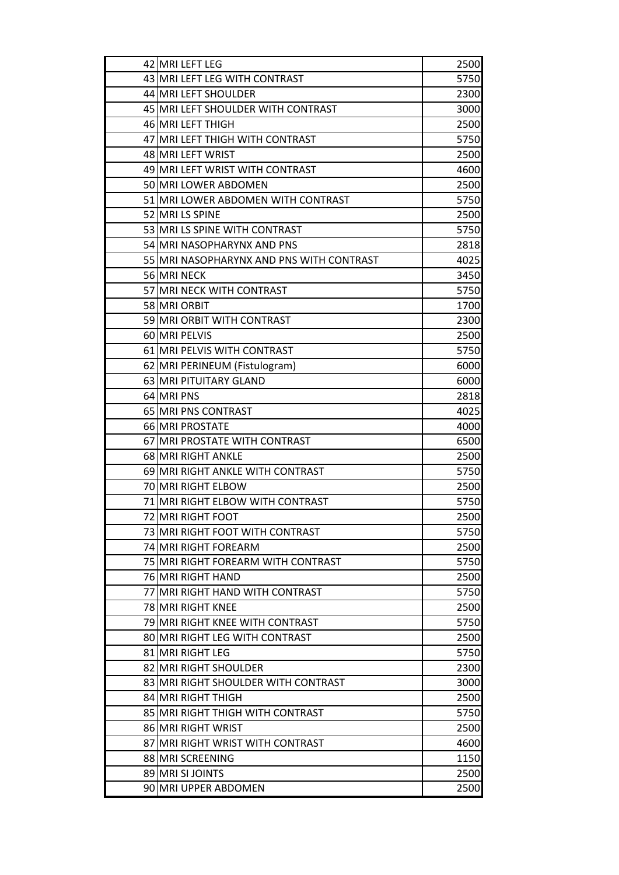| 42 MRI LEFT LEG                          | 2500 |
|------------------------------------------|------|
| 43 MRI LEFT LEG WITH CONTRAST            | 5750 |
| 44 MRI LEFT SHOULDER                     | 2300 |
| 45 MRI LEFT SHOULDER WITH CONTRAST       | 3000 |
| 46 MRI LEFT THIGH                        | 2500 |
| 47 MRI LEFT THIGH WITH CONTRAST          | 5750 |
| 48 MRI LEFT WRIST                        | 2500 |
| 49 MRI LEFT WRIST WITH CONTRAST          | 4600 |
| 50 MRI LOWER ABDOMEN                     | 2500 |
| 51 MRI LOWER ABDOMEN WITH CONTRAST       | 5750 |
| 52 MRI LS SPINE                          | 2500 |
| 53 MRI LS SPINE WITH CONTRAST            | 5750 |
| 54 MRI NASOPHARYNX AND PNS               | 2818 |
| 55 MRI NASOPHARYNX AND PNS WITH CONTRAST | 4025 |
| 56 MRI NECK                              | 3450 |
| 57 MRI NECK WITH CONTRAST                | 5750 |
| 58 MRI ORBIT                             | 1700 |
| 59 MRI ORBIT WITH CONTRAST               | 2300 |
| 60 MRI PELVIS                            | 2500 |
| 61 MRI PELVIS WITH CONTRAST              | 5750 |
| 62 MRI PERINEUM (Fistulogram)            | 6000 |
| 63 MRI PITUITARY GLAND                   | 6000 |
| 64 MRI PNS                               | 2818 |
| 65 MRI PNS CONTRAST                      | 4025 |
| 66 MRI PROSTATE                          | 4000 |
| 67 MRI PROSTATE WITH CONTRAST            | 6500 |
| 68 MRI RIGHT ANKLE                       | 2500 |
| 69 MRI RIGHT ANKLE WITH CONTRAST         | 5750 |
| 70 MRI RIGHT ELBOW                       | 2500 |
| 71 MRI RIGHT ELBOW WITH CONTRAST         | 5750 |
| 72 MRI RIGHT FOOT                        | 2500 |
| 73 MRI RIGHT FOOT WITH CONTRAST          | 5750 |
| 74 MRI RIGHT FOREARM                     | 2500 |
| 75 MRI RIGHT FOREARM WITH CONTRAST       | 5750 |
| 76 MRI RIGHT HAND                        | 2500 |
| 77 MRI RIGHT HAND WITH CONTRAST          | 5750 |
| 78 MRI RIGHT KNEE                        | 2500 |
| 79 MRI RIGHT KNEE WITH CONTRAST          | 5750 |
| 80 MRI RIGHT LEG WITH CONTRAST           | 2500 |
| 81 MRI RIGHT LEG                         | 5750 |
| 82 MRI RIGHT SHOULDER                    | 2300 |
| 83 MRI RIGHT SHOULDER WITH CONTRAST      | 3000 |
| 84 MRI RIGHT THIGH                       | 2500 |
| 85 MRI RIGHT THIGH WITH CONTRAST         | 5750 |
| 86 MRI RIGHT WRIST                       | 2500 |
| 87 MRI RIGHT WRIST WITH CONTRAST         | 4600 |
| 88 MRI SCREENING                         | 1150 |
| 89 MRI SI JOINTS                         | 2500 |
| 90 MRI UPPER ABDOMEN                     | 2500 |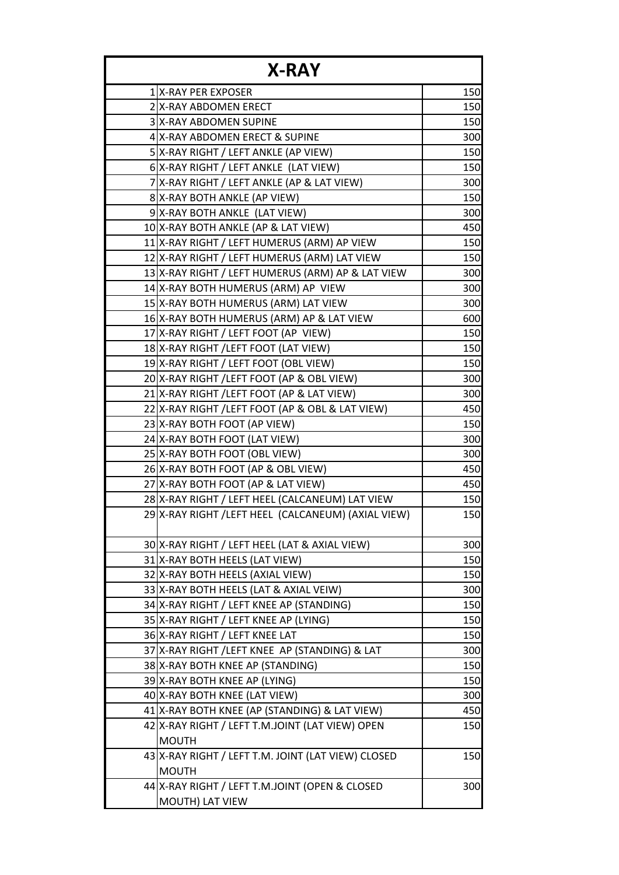| <b>X-RAY</b> |                                                     |     |
|--------------|-----------------------------------------------------|-----|
|              | 1 X-RAY PER EXPOSER                                 | 150 |
|              | 2 X-RAY ABDOMEN ERECT                               | 150 |
|              | 3 X-RAY ABDOMEN SUPINE                              | 150 |
|              | 4 X-RAY ABDOMEN ERECT & SUPINE                      | 300 |
|              | 5 X-RAY RIGHT / LEFT ANKLE (AP VIEW)                | 150 |
|              | 6 X-RAY RIGHT / LEFT ANKLE (LAT VIEW)               | 150 |
|              | 7 X-RAY RIGHT / LEFT ANKLE (AP & LAT VIEW)          | 300 |
|              | 8 X-RAY BOTH ANKLE (AP VIEW)                        | 150 |
|              | 9 X-RAY BOTH ANKLE (LAT VIEW)                       | 300 |
|              | 10 X-RAY BOTH ANKLE (AP & LAT VIEW)                 | 450 |
|              | 11 X-RAY RIGHT / LEFT HUMERUS (ARM) AP VIEW         | 150 |
|              | 12 X-RAY RIGHT / LEFT HUMERUS (ARM) LAT VIEW        | 150 |
|              | 13 X-RAY RIGHT / LEFT HUMERUS (ARM) AP & LAT VIEW   | 300 |
|              | 14 X-RAY BOTH HUMERUS (ARM) AP VIEW                 | 300 |
|              | 15 X-RAY BOTH HUMERUS (ARM) LAT VIEW                | 300 |
|              | 16 X-RAY BOTH HUMERUS (ARM) AP & LAT VIEW           | 600 |
|              | 17 X-RAY RIGHT / LEFT FOOT (AP VIEW)                | 150 |
|              | 18 X-RAY RIGHT / LEFT FOOT (LAT VIEW)               | 150 |
|              | 19 X-RAY RIGHT / LEFT FOOT (OBL VIEW)               | 150 |
|              | 20 X-RAY RIGHT / LEFT FOOT (AP & OBL VIEW)          | 300 |
|              | 21 X-RAY RIGHT / LEFT FOOT (AP & LAT VIEW)          | 300 |
|              | 22 X-RAY RIGHT / LEFT FOOT (AP & OBL & LAT VIEW)    | 450 |
|              | 23 X-RAY BOTH FOOT (AP VIEW)                        | 150 |
|              | 24 X-RAY BOTH FOOT (LAT VIEW)                       | 300 |
|              | 25 X-RAY BOTH FOOT (OBL VIEW)                       | 300 |
|              | 26 X-RAY BOTH FOOT (AP & OBL VIEW)                  | 450 |
|              | 27 X-RAY BOTH FOOT (AP & LAT VIEW)                  | 450 |
|              | 28 X-RAY RIGHT / LEFT HEEL (CALCANEUM) LAT VIEW     | 150 |
|              | 29 X-RAY RIGHT / LEFT HEEL (CALCANEUM) (AXIAL VIEW) | 150 |
|              | 30 X-RAY RIGHT / LEFT HEEL (LAT & AXIAL VIEW)       | 300 |
|              | 31 X-RAY BOTH HEELS (LAT VIEW)                      | 150 |
|              | 32 X-RAY BOTH HEELS (AXIAL VIEW)                    | 150 |
|              | 33 X-RAY BOTH HEELS (LAT & AXIAL VEIW)              | 300 |
|              | 34 X-RAY RIGHT / LEFT KNEE AP (STANDING)            | 150 |
|              | 35 X-RAY RIGHT / LEFT KNEE AP (LYING)               | 150 |
|              | 36 X-RAY RIGHT / LEFT KNEE LAT                      | 150 |
|              | 37 X-RAY RIGHT / LEFT KNEE AP (STANDING) & LAT      | 300 |
|              | 38 X-RAY BOTH KNEE AP (STANDING)                    | 150 |
|              | 39 X-RAY BOTH KNEE AP (LYING)                       | 150 |
|              | 40 X-RAY BOTH KNEE (LAT VIEW)                       | 300 |
|              | 41 X-RAY BOTH KNEE (AP (STANDING) & LAT VIEW)       | 450 |
|              | 42 X-RAY RIGHT / LEFT T.M.JOINT (LAT VIEW) OPEN     | 150 |
|              | <b>MOUTH</b>                                        |     |
|              | 43 X-RAY RIGHT / LEFT T.M. JOINT (LAT VIEW) CLOSED  | 150 |
|              | <b>MOUTH</b>                                        |     |
|              | 44 X-RAY RIGHT / LEFT T.M.JOINT (OPEN & CLOSED      | 300 |
|              | MOUTH) LAT VIEW                                     |     |
|              |                                                     |     |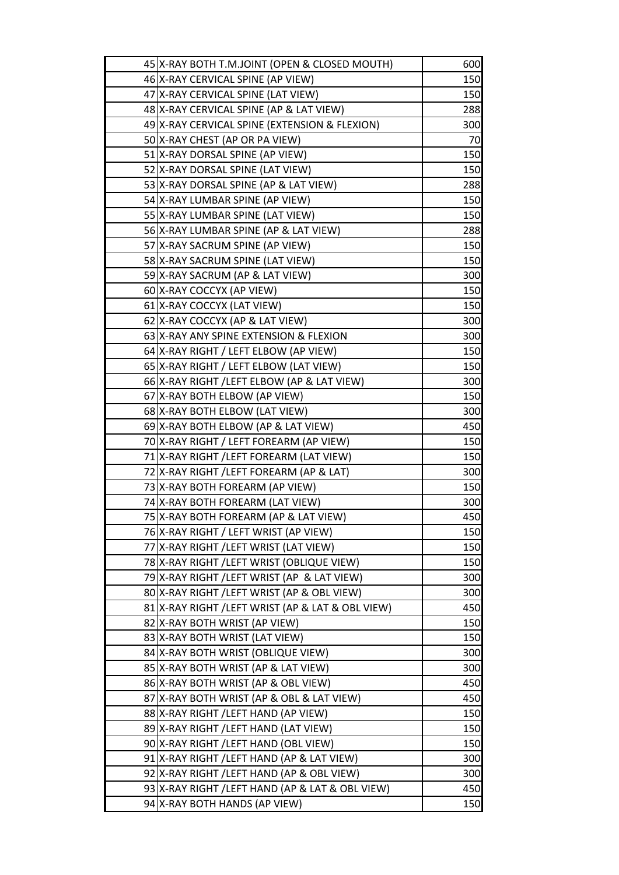| 45 X-RAY BOTH T.M.JOINT (OPEN & CLOSED MOUTH)     | 600 |
|---------------------------------------------------|-----|
| 46 X-RAY CERVICAL SPINE (AP VIEW)                 | 150 |
| 47 X-RAY CERVICAL SPINE (LAT VIEW)                | 150 |
| 48 X-RAY CERVICAL SPINE (AP & LAT VIEW)           | 288 |
| 49 X-RAY CERVICAL SPINE (EXTENSION & FLEXION)     | 300 |
| 50 X-RAY CHEST (AP OR PA VIEW)                    | 70  |
| 51   X-RAY DORSAL SPINE (AP VIEW)                 | 150 |
| 52 X-RAY DORSAL SPINE (LAT VIEW)                  | 150 |
| 53 X-RAY DORSAL SPINE (AP & LAT VIEW)             | 288 |
| 54 X-RAY LUMBAR SPINE (AP VIEW)                   | 150 |
| 55 X-RAY LUMBAR SPINE (LAT VIEW)                  | 150 |
| 56 X-RAY LUMBAR SPINE (AP & LAT VIEW)             | 288 |
| 57 X-RAY SACRUM SPINE (AP VIEW)                   | 150 |
| 58 X-RAY SACRUM SPINE (LAT VIEW)                  | 150 |
| 59 X-RAY SACRUM (AP & LAT VIEW)                   | 300 |
| 60 X-RAY COCCYX (AP VIEW)                         | 150 |
| 61 X-RAY COCCYX (LAT VIEW)                        | 150 |
| 62 X-RAY COCCYX (AP & LAT VIEW)                   | 300 |
| 63 X-RAY ANY SPINE EXTENSION & FLEXION            | 300 |
| 64 X-RAY RIGHT / LEFT ELBOW (AP VIEW)             | 150 |
| 65 X-RAY RIGHT / LEFT ELBOW (LAT VIEW)            | 150 |
| 66 X-RAY RIGHT / LEFT ELBOW (AP & LAT VIEW)       | 300 |
| 67 X-RAY BOTH ELBOW (AP VIEW)                     | 150 |
| 68 X-RAY BOTH ELBOW (LAT VIEW)                    | 300 |
| 69 X-RAY BOTH ELBOW (AP & LAT VIEW)               | 450 |
| 70 X-RAY RIGHT / LEFT FOREARM (AP VIEW)           | 150 |
| 71 X-RAY RIGHT / LEFT FOREARM (LAT VIEW)          | 150 |
| 72 X-RAY RIGHT / LEFT FOREARM (AP & LAT)          | 300 |
| 73 X-RAY BOTH FOREARM (AP VIEW)                   | 150 |
| 74 X-RAY BOTH FOREARM (LAT VIEW)                  | 300 |
| 75 X-RAY BOTH FOREARM (AP & LAT VIEW)             | 450 |
| 76 X-RAY RIGHT / LEFT WRIST (AP VIEW)             | 150 |
| 77 X-RAY RIGHT / LEFT WRIST (LAT VIEW)            | 150 |
| 78 X-RAY RIGHT / LEFT WRIST (OBLIQUE VIEW)        | 150 |
| 79 X-RAY RIGHT / LEFT WRIST (AP & LAT VIEW)       | 300 |
| 80 X-RAY RIGHT / LEFT WRIST (AP & OBL VIEW)       | 300 |
| 81 X-RAY RIGHT / LEFT WRIST (AP & LAT & OBL VIEW) | 450 |
| 82 X-RAY BOTH WRIST (AP VIEW)                     | 150 |
| 83 X-RAY BOTH WRIST (LAT VIEW)                    | 150 |
| 84 X-RAY BOTH WRIST (OBLIQUE VIEW)                | 300 |
| 85 X-RAY BOTH WRIST (AP & LAT VIEW)               | 300 |
| 86 X-RAY BOTH WRIST (AP & OBL VIEW)               | 450 |
| 87 X-RAY BOTH WRIST (AP & OBL & LAT VIEW)         | 450 |
| 88 X-RAY RIGHT / LEFT HAND (AP VIEW)              | 150 |
| 89 X-RAY RIGHT / LEFT HAND (LAT VIEW)             | 150 |
| 90 X-RAY RIGHT / LEFT HAND (OBL VIEW)             | 150 |
| 91 X-RAY RIGHT / LEFT HAND (AP & LAT VIEW)        | 300 |
| 92 X-RAY RIGHT / LEFT HAND (AP & OBL VIEW)        | 300 |
| 93 X-RAY RIGHT / LEFT HAND (AP & LAT & OBL VIEW)  | 450 |
| 94 X-RAY BOTH HANDS (AP VIEW)                     | 150 |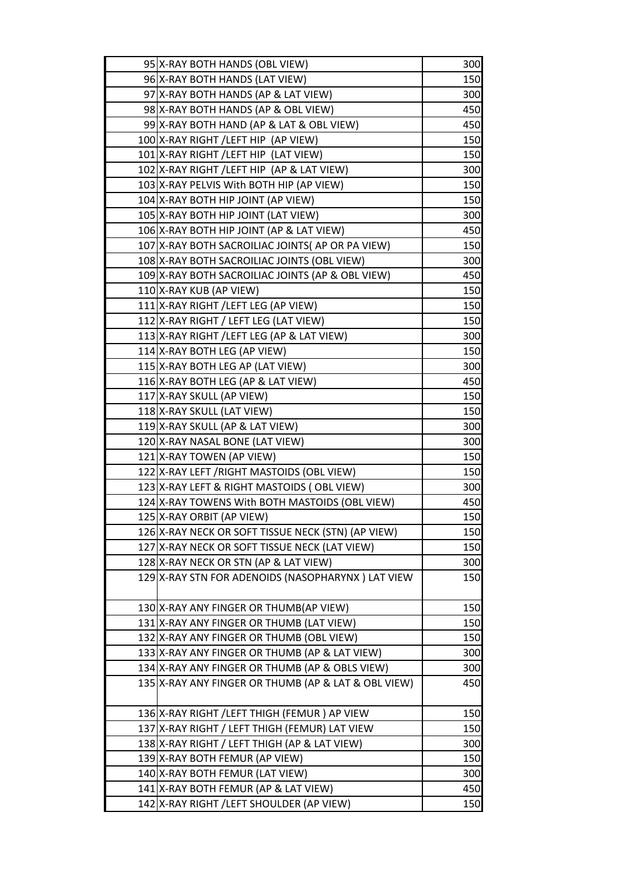| 95 X-RAY BOTH HANDS (OBL VIEW)                      | 300 |
|-----------------------------------------------------|-----|
| 96 X-RAY BOTH HANDS (LAT VIEW)                      | 150 |
| 97 X-RAY BOTH HANDS (AP & LAT VIEW)                 | 300 |
| 98 X-RAY BOTH HANDS (AP & OBL VIEW)                 | 450 |
| 99 X-RAY BOTH HAND (AP & LAT & OBL VIEW)            | 450 |
| 100 X-RAY RIGHT / LEFT HIP (AP VIEW)                | 150 |
| 101 X-RAY RIGHT /LEFT HIP (LAT VIEW)                | 150 |
| 102 X-RAY RIGHT / LEFT HIP (AP & LAT VIEW)          | 300 |
| 103 X-RAY PELVIS With BOTH HIP (AP VIEW)            | 150 |
| 104 X-RAY BOTH HIP JOINT (AP VIEW)                  | 150 |
| 105 X-RAY BOTH HIP JOINT (LAT VIEW)                 | 300 |
| 106 X-RAY BOTH HIP JOINT (AP & LAT VIEW)            | 450 |
| 107 X-RAY BOTH SACROILIAC JOINTS (AP OR PA VIEW)    | 150 |
| 108 X-RAY BOTH SACROILIAC JOINTS (OBL VIEW)         | 300 |
| 109 X-RAY BOTH SACROILIAC JOINTS (AP & OBL VIEW)    | 450 |
| 110 X-RAY KUB (AP VIEW)                             | 150 |
| 111 X-RAY RIGHT / LEFT LEG (AP VIEW)                | 150 |
| 112 X-RAY RIGHT / LEFT LEG (LAT VIEW)               | 150 |
| 113 X-RAY RIGHT / LEFT LEG (AP & LAT VIEW)          | 300 |
| 114 X-RAY BOTH LEG (AP VIEW)                        | 150 |
| 115 X-RAY BOTH LEG AP (LAT VIEW)                    | 300 |
| 116 X-RAY BOTH LEG (AP & LAT VIEW)                  | 450 |
| 117 X-RAY SKULL (AP VIEW)                           | 150 |
| 118 X-RAY SKULL (LAT VIEW)                          | 150 |
| 119 X-RAY SKULL (AP & LAT VIEW)                     | 300 |
| 120 X-RAY NASAL BONE (LAT VIEW)                     | 300 |
| 121 X-RAY TOWEN (AP VIEW)                           | 150 |
| 122 X-RAY LEFT / RIGHT MASTOIDS (OBL VIEW)          | 150 |
| 123 X-RAY LEFT & RIGHT MASTOIDS (OBL VIEW)          | 300 |
| 124 X-RAY TOWENS With BOTH MASTOIDS (OBL VIEW)      | 450 |
| 125 X-RAY ORBIT (AP VIEW)                           | 150 |
| 126 X-RAY NECK OR SOFT TISSUE NECK (STN) (AP VIEW)  | 150 |
| 127 X-RAY NECK OR SOFT TISSUE NECK (LAT VIEW)       | 150 |
| 128 X-RAY NECK OR STN (AP & LAT VIEW)               | 300 |
| 129 X-RAY STN FOR ADENOIDS (NASOPHARYNX) LAT VIEW   | 150 |
| 130 X-RAY ANY FINGER OR THUMB(AP VIEW)              | 150 |
| 131   X-RAY ANY FINGER OR THUMB (LAT VIEW)          | 150 |
| 132 X-RAY ANY FINGER OR THUMB (OBL VIEW)            | 150 |
| 133 X-RAY ANY FINGER OR THUMB (AP & LAT VIEW)       | 300 |
| 134 X-RAY ANY FINGER OR THUMB (AP & OBLS VIEW)      | 300 |
| 135 X-RAY ANY FINGER OR THUMB (AP & LAT & OBL VIEW) | 450 |
| 136 X-RAY RIGHT / LEFT THIGH (FEMUR) AP VIEW        | 150 |
| 137 X-RAY RIGHT / LEFT THIGH (FEMUR) LAT VIEW       | 150 |
| 138 X-RAY RIGHT / LEFT THIGH (AP & LAT VIEW)        | 300 |
| 139 X-RAY BOTH FEMUR (AP VIEW)                      | 150 |
| 140 X-RAY BOTH FEMUR (LAT VIEW)                     | 300 |
| 141 X-RAY BOTH FEMUR (AP & LAT VIEW)                | 450 |
| 142 X-RAY RIGHT / LEFT SHOULDER (AP VIEW)           | 150 |
|                                                     |     |